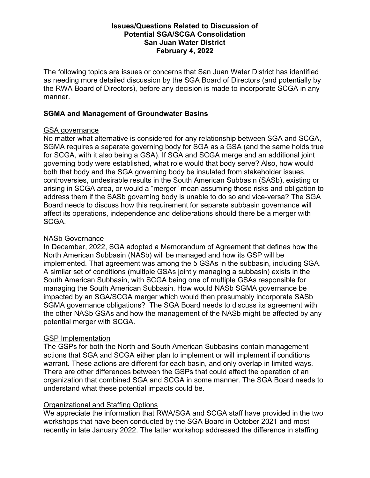### Issues/Questions Related to Discussion of Potential SGA/SCGA Consolidation San Juan Water District February 4, 2022

The following topics are issues or concerns that San Juan Water District has identified as needing more detailed discussion by the SGA Board of Directors (and potentially by the RWA Board of Directors), before any decision is made to incorporate SCGA in any manner.

## SGMA and Management of Groundwater Basins

### GSA governance

No matter what alternative is considered for any relationship between SGA and SCGA, SGMA requires a separate governing body for SGA as a GSA (and the same holds true for SCGA, with it also being a GSA). If SGA and SCGA merge and an additional joint governing body were established, what role would that body serve? Also, how would both that body and the SGA governing body be insulated from stakeholder issues, controversies, undesirable results in the South American Subbasin (SASb), existing or arising in SCGA area, or would a "merger" mean assuming those risks and obligation to address them if the SASb governing body is unable to do so and vice-versa? The SGA Board needs to discuss how this requirement for separate subbasin governance will affect its operations, independence and deliberations should there be a merger with SCGA.

## NASb Governance

In December, 2022, SGA adopted a Memorandum of Agreement that defines how the North American Subbasin (NASb) will be managed and how its GSP will be implemented. That agreement was among the 5 GSAs in the subbasin, including SGA. A similar set of conditions (multiple GSAs jointly managing a subbasin) exists in the South American Subbasin, with SCGA being one of multiple GSAs responsible for managing the South American Subbasin. How would NASb SGMA governance be impacted by an SGA/SCGA merger which would then presumably incorporate SASb SGMA governance obligations? The SGA Board needs to discuss its agreement with the other NASb GSAs and how the management of the NASb might be affected by any potential merger with SCGA.

# **GSP** Implementation

The GSPs for both the North and South American Subbasins contain management actions that SGA and SCGA either plan to implement or will implement if conditions warrant. These actions are different for each basin, and only overlap in limited ways. There are other differences between the GSPs that could affect the operation of an organization that combined SGA and SCGA in some manner. The SGA Board needs to understand what these potential impacts could be.

# Organizational and Staffing Options

We appreciate the information that RWA/SGA and SCGA staff have provided in the two workshops that have been conducted by the SGA Board in October 2021 and most recently in late January 2022. The latter workshop addressed the difference in staffing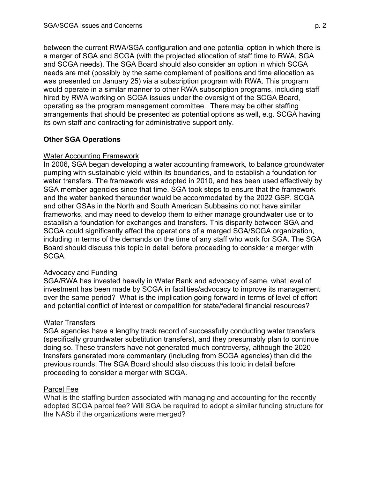between the current RWA/SGA configuration and one potential option in which there is a merger of SGA and SCGA (with the projected allocation of staff time to RWA, SGA and SCGA needs). The SGA Board should also consider an option in which SCGA needs are met (possibly by the same complement of positions and time allocation as was presented on January 25) via a subscription program with RWA. This program would operate in a similar manner to other RWA subscription programs, including staff hired by RWA working on SCGA issues under the oversight of the SCGA Board, operating as the program management committee. There may be other staffing arrangements that should be presented as potential options as well, e.g. SCGA having its own staff and contracting for administrative support only.

# Other SGA Operations

## Water Accounting Framework

In 2006, SGA began developing a water accounting framework, to balance groundwater pumping with sustainable yield within its boundaries, and to establish a foundation for water transfers. The framework was adopted in 2010, and has been used effectively by SGA member agencies since that time. SGA took steps to ensure that the framework and the water banked thereunder would be accommodated by the 2022 GSP. SCGA and other GSAs in the North and South American Subbasins do not have similar frameworks, and may need to develop them to either manage groundwater use or to establish a foundation for exchanges and transfers. This disparity between SGA and SCGA could significantly affect the operations of a merged SGA/SCGA organization, including in terms of the demands on the time of any staff who work for SGA. The SGA Board should discuss this topic in detail before proceeding to consider a merger with SCGA.

### Advocacy and Funding

SGA/RWA has invested heavily in Water Bank and advocacy of same, what level of investment has been made by SCGA in facilities/advocacy to improve its management over the same period? What is the implication going forward in terms of level of effort and potential conflict of interest or competition for state/federal financial resources?

### Water Transfers

SGA agencies have a lengthy track record of successfully conducting water transfers (specifically groundwater substitution transfers), and they presumably plan to continue doing so. These transfers have not generated much controversy, although the 2020 transfers generated more commentary (including from SCGA agencies) than did the previous rounds. The SGA Board should also discuss this topic in detail before proceeding to consider a merger with SCGA.

### Parcel Fee

What is the staffing burden associated with managing and accounting for the recently adopted SCGA parcel fee? Will SGA be required to adopt a similar funding structure for the NASb if the organizations were merged?